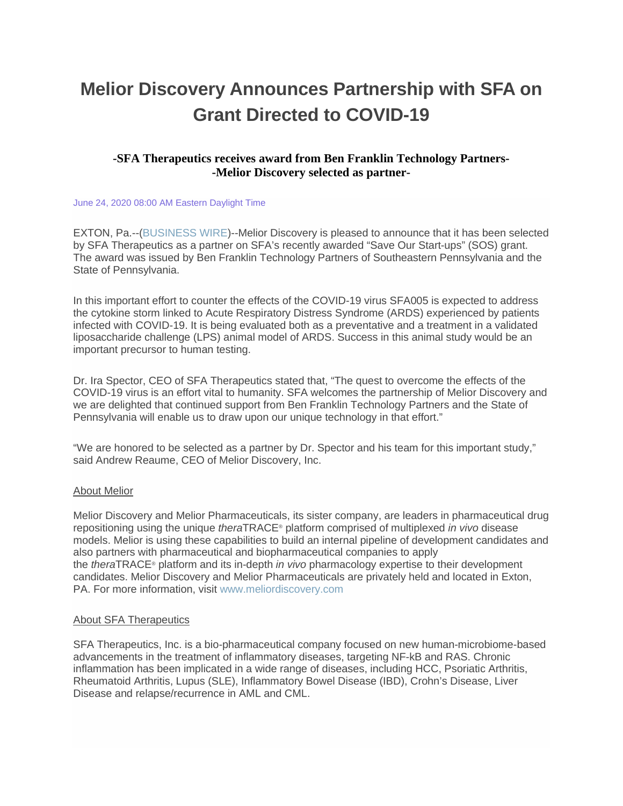# **Melior Discovery Announces Partnership with SFA on Grant Directed to COVID-19**

## **-SFA Therapeutics receives award from Ben Franklin Technology Partners- -Melior Discovery selected as partner-**

#### June 24, 2020 08:00 AM Eastern Daylight Time

EXTON, Pa.--[\(BUSINESS WIRE\)](https://www.businesswire.com/)--Melior Discovery is pleased to announce that it has been selected by SFA Therapeutics as a partner on SFA's recently awarded "Save Our Start-ups" (SOS) grant. The award was issued by Ben Franklin Technology Partners of Southeastern Pennsylvania and the State of Pennsylvania.

In this important effort to counter the effects of the COVID-19 virus SFA005 is expected to address the cytokine storm linked to Acute Respiratory Distress Syndrome (ARDS) experienced by patients infected with COVID-19. It is being evaluated both as a preventative and a treatment in a validated liposaccharide challenge (LPS) animal model of ARDS. Success in this animal study would be an important precursor to human testing.

Dr. Ira Spector, CEO of SFA Therapeutics stated that, "The quest to overcome the effects of the COVID-19 virus is an effort vital to humanity. SFA welcomes the partnership of Melior Discovery and we are delighted that continued support from Ben Franklin Technology Partners and the State of Pennsylvania will enable us to draw upon our unique technology in that effort."

"We are honored to be selected as a partner by Dr. Spector and his team for this important study," said Andrew Reaume, CEO of Melior Discovery, Inc.

### About Melior

Melior Discovery and Melior Pharmaceuticals, its sister company, are leaders in pharmaceutical drug repositioning using the unique *thera*TRACE® platform comprised of multiplexed *in vivo* disease models. Melior is using these capabilities to build an internal pipeline of development candidates and also partners with pharmaceutical and biopharmaceutical companies to apply the *thera*TRACE® platform and its in-depth *in vivo* pharmacology expertise to their development candidates. Melior Discovery and Melior Pharmaceuticals are privately held and located in Exton, PA. For more information, visit [www.meliordiscovery.com](https://cts.businesswire.com/ct/CT?id=smartlink&url=http%3A%2F%2Fwww.meliordiscovery.com%2F&esheet=52240483&newsitemid=20200624005197&lan=en-US&anchor=www.meliordiscovery.com&index=1&md5=9f0bd64c3c856133ed49b18e2bb56139)

### About SFA Therapeutics

SFA Therapeutics, Inc. is a bio-pharmaceutical company focused on new human-microbiome-based advancements in the treatment of inflammatory diseases, targeting NF-kB and RAS. Chronic inflammation has been implicated in a wide range of diseases, including HCC, Psoriatic Arthritis, Rheumatoid Arthritis, Lupus (SLE), Inflammatory Bowel Disease (IBD), Crohn's Disease, Liver Disease and relapse/recurrence in AML and CML.